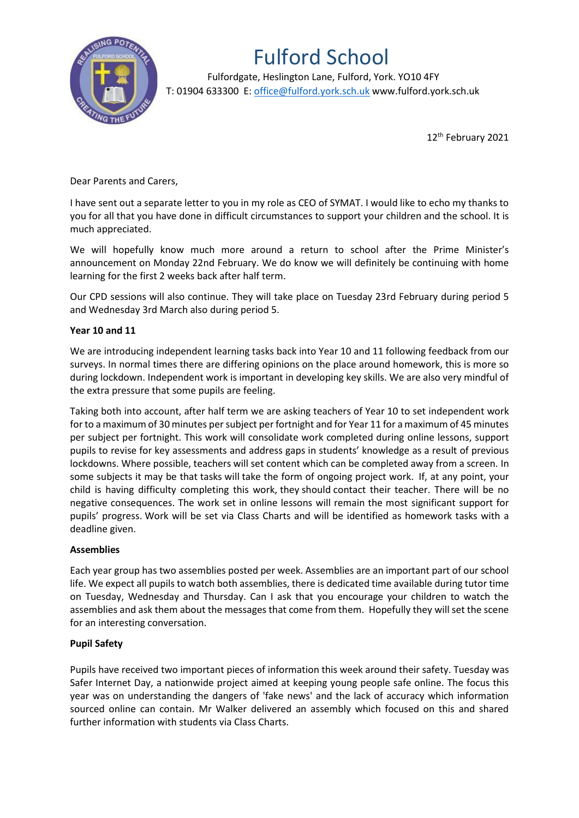

## Fulford School

 Fulfordgate, Heslington Lane, Fulford, York. YO10 4FY T: 01904 633300 E: office@fulford.york.sch.uk www.fulford.york.sch.uk

12th February 2021

Dear Parents and Carers,

I have sent out a separate letter to you in my role as CEO of SYMAT. I would like to echo my thanks to you for all that you have done in difficult circumstances to support your children and the school. It is much appreciated.

We will hopefully know much more around a return to school after the Prime Minister's announcement on Monday 22nd February. We do know we will definitely be continuing with home learning for the first 2 weeks back after half term.

Our CPD sessions will also continue. They will take place on Tuesday 23rd February during period 5 and Wednesday 3rd March also during period 5.

## **Year 10 and 11**

We are introducing independent learning tasks back into Year 10 and 11 following feedback from our surveys. In normal times there are differing opinions on the place around homework, this is more so during lockdown. Independent work is important in developing key skills. We are also very mindful of the extra pressure that some pupils are feeling.

Taking both into account, after half term we are asking teachers of Year 10 to set independent work for to a maximum of 30 minutes persubject per fortnight and for Year 11 for a maximum of 45 minutes per subject per fortnight. This work will consolidate work completed during online lessons, support pupils to revise for key assessments and address gaps in students' knowledge as a result of previous lockdowns. Where possible, teachers will set content which can be completed away from a screen. In some subjects it may be that tasks will take the form of ongoing project work. If, at any point, your child is having difficulty completing this work, they should contact their teacher. There will be no negative consequences. The work set in online lessons will remain the most significant support for pupils' progress. Work will be set via Class Charts and will be identified as homework tasks with a deadline given.

## **Assemblies**

Each year group has two assemblies posted per week. Assemblies are an important part of our school life. We expect all pupils to watch both assemblies, there is dedicated time available during tutor time on Tuesday, Wednesday and Thursday. Can I ask that you encourage your children to watch the assemblies and ask them about the messages that come from them. Hopefully they will set the scene for an interesting conversation.

## **Pupil Safety**

Pupils have received two important pieces of information this week around their safety. Tuesday was Safer Internet Day, a nationwide project aimed at keeping young people safe online. The focus this year was on understanding the dangers of 'fake news' and the lack of accuracy which information sourced online can contain. Mr Walker delivered an assembly which focused on this and shared further information with students via Class Charts.